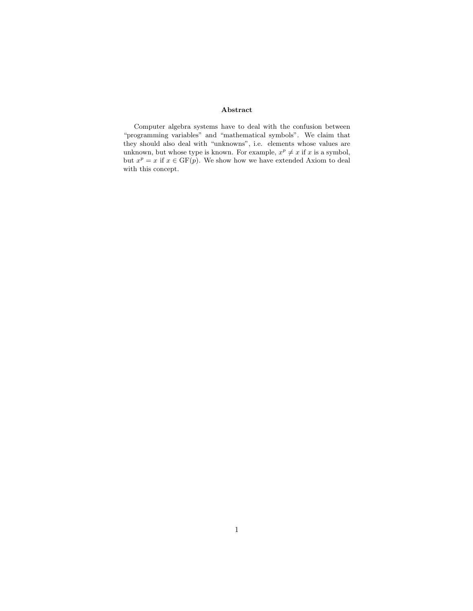#### Abstract

Computer algebra systems have to deal with the confusion between "programming variables" and "mathematical symbols". We claim that they should also deal with "unknowns", i.e. elements whose values are unknown, but whose type is known. For example,  $x^p \neq x$  if x is a symbol, but  $x^p = x$  if  $x \in \text{GF}(p)$ . We show how we have extended Axiom to deal with this concept.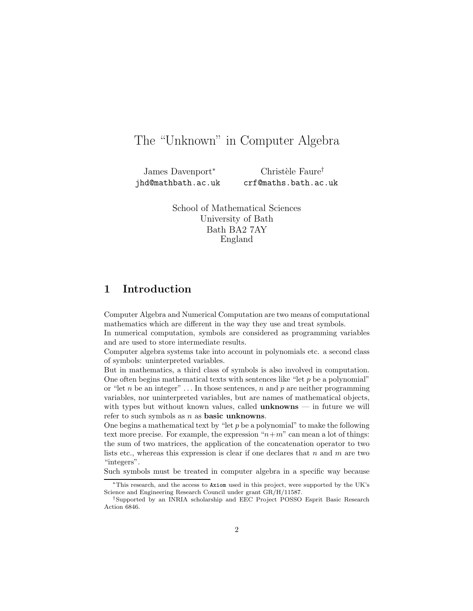# The "Unknown" in Computer Algebra

James Davenport<sup>∗</sup> jhd@mathbath.ac.uk

 $Christ\`{e}le Faur\`{e}$ crf@maths.bath.ac.uk

School of Mathematical Sciences University of Bath Bath BA2 7AY England

## 1 Introduction

Computer Algebra and Numerical Computation are two means of computational mathematics which are different in the way they use and treat symbols.

In numerical computation, symbols are considered as programming variables and are used to store intermediate results.

Computer algebra systems take into account in polynomials etc. a second class of symbols: uninterpreted variables.

But in mathematics, a third class of symbols is also involved in computation. One often begins mathematical texts with sentences like "let  $p$  be a polynomial" or "let n be an integer"  $\dots$  In those sentences, n and p are neither programming variables, nor uninterpreted variables, but are names of mathematical objects, with types but without known values, called  $\mathbf{unknowns}$  — in future we will refer to such symbols as  $n$  as **basic unknowns**.

One begins a mathematical text by "let  $p$  be a polynomial" to make the following text more precise. For example, the expression " $n+m$ " can mean a lot of things: the sum of two matrices, the application of the concatenation operator to two lists etc., whereas this expression is clear if one declares that  $n$  and  $m$  are two "integers".

Such symbols must be treated in computer algebra in a specific way because

<sup>∗</sup>This research, and the access to Axiom used in this project, were supported by the UK's Science and Engineering Research Council under grant GR/H/11587.

<sup>†</sup>Supported by an INRIA scholarship and EEC Project POSSO Esprit Basic Research Action 6846.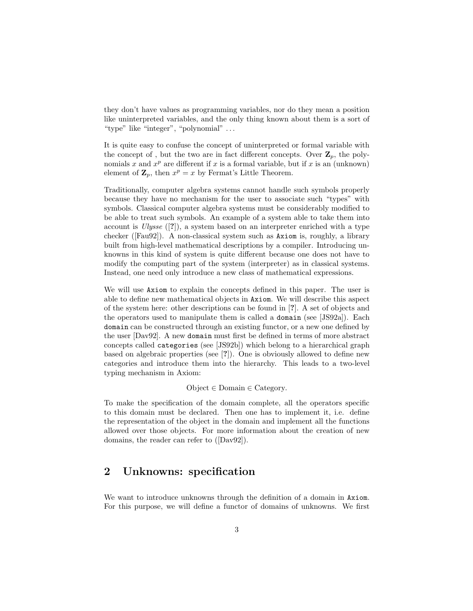they don't have values as programming variables, nor do they mean a position like uninterpreted variables, and the only thing known about them is a sort of "type" like "integer", "polynomial" . . .

It is quite easy to confuse the concept of uninterpreted or formal variable with the concept of, but the two are in fact different concepts. Over  $\mathbf{Z}_n$ , the polynomials x and  $x^p$  are different if x is a formal variable, but if x is an (unknown) element of  $\mathbf{Z}_p$ , then  $x^p = x$  by Fermat's Little Theorem.

Traditionally, computer algebra systems cannot handle such symbols properly because they have no mechanism for the user to associate such "types" with symbols. Classical computer algebra systems must be considerably modified to be able to treat such symbols. An example of a system able to take them into account is Ulysse ([?]), a system based on an interpreter enriched with a type checker ([Fau92]). A non-classical system such as Axiom is, roughly, a library built from high-level mathematical descriptions by a compiler. Introducing unknowns in this kind of system is quite different because one does not have to modify the computing part of the system (interpreter) as in classical systems. Instead, one need only introduce a new class of mathematical expressions.

We will use Axiom to explain the concepts defined in this paper. The user is able to define new mathematical objects in Axiom. We will describe this aspect of the system here: other descriptions can be found in [?]. A set of objects and the operators used to manipulate them is called a domain (see [JS92a]). Each domain can be constructed through an existing functor, or a new one defined by the user [Dav92]. A new domain must first be defined in terms of more abstract concepts called categories (see [JS92b]) which belong to a hierarchical graph based on algebraic properties (see [?]). One is obviously allowed to define new categories and introduce them into the hierarchy. This leads to a two-level typing mechanism in Axiom:

 $Object \in Domain \in \text{Category}.$ 

To make the specification of the domain complete, all the operators specific to this domain must be declared. Then one has to implement it, i.e. define the representation of the object in the domain and implement all the functions allowed over those objects. For more information about the creation of new domains, the reader can refer to ([Dav92]).

#### 2 Unknowns: specification

We want to introduce unknowns through the definition of a domain in Axiom. For this purpose, we will define a functor of domains of unknowns. We first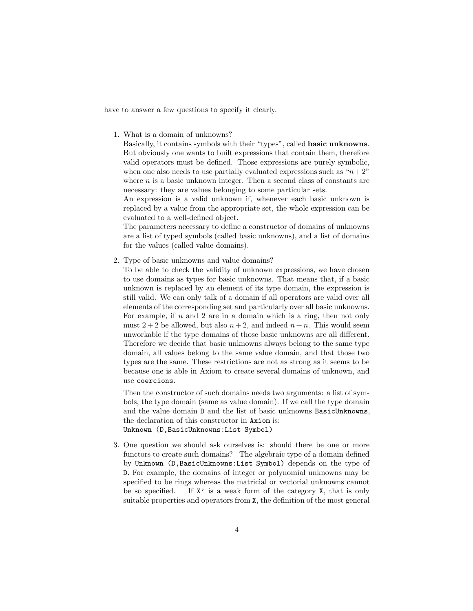have to answer a few questions to specify it clearly.

1. What is a domain of unknowns?

Basically, it contains symbols with their "types", called basic unknowns. But obviously one wants to built expressions that contain them, therefore valid operators must be defined. Those expressions are purely symbolic, when one also needs to use partially evaluated expressions such as " $n+2$ " where  $n$  is a basic unknown integer. Then a second class of constants are necessary: they are values belonging to some particular sets.

An expression is a valid unknown if, whenever each basic unknown is replaced by a value from the appropriate set, the whole expression can be evaluated to a well-defined object.

The parameters necessary to define a constructor of domains of unknowns are a list of typed symbols (called basic unknowns), and a list of domains for the values (called value domains).

2. Type of basic unknowns and value domains?

To be able to check the validity of unknown expressions, we have chosen to use domains as types for basic unknowns. That means that, if a basic unknown is replaced by an element of its type domain, the expression is still valid. We can only talk of a domain if all operators are valid over all elements of the corresponding set and particularly over all basic unknowns. For example, if  $n$  and  $2$  are in a domain which is a ring, then not only must  $2+2$  be allowed, but also  $n+2$ , and indeed  $n+n$ . This would seem unworkable if the type domains of those basic unknowns are all different. Therefore we decide that basic unknowns always belong to the same type domain, all values belong to the same value domain, and that those two types are the same. These restrictions are not as strong as it seems to be because one is able in Axiom to create several domains of unknown, and use coercions.

Then the constructor of such domains needs two arguments: a list of symbols, the type domain (same as value domain). If we call the type domain and the value domain D and the list of basic unknowns BasicUnknowns, the declaration of this constructor in Axiom is: Unknown (D,BasicUnknowns:List Symbol)

3. One question we should ask ourselves is: should there be one or more functors to create such domains? The algebraic type of a domain defined by Unknown (D,BasicUnknowns:List Symbol) depends on the type of D. For example, the domains of integer or polynomial unknowns may be specified to be rings whereas the matricial or vectorial unknowns cannot be so specified. If  $X'$  is a weak form of the category X, that is only suitable properties and operators from X, the definition of the most general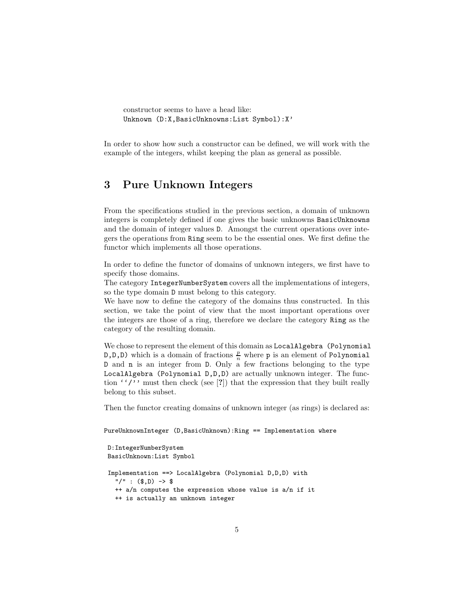```
constructor seems to have a head like:
Unknown (D:X,BasicUnknowns:List Symbol):X'
```
In order to show how such a constructor can be defined, we will work with the example of the integers, whilst keeping the plan as general as possible.

### 3 Pure Unknown Integers

From the specifications studied in the previous section, a domain of unknown integers is completely defined if one gives the basic unknowns BasicUnknowns and the domain of integer values D. Amongst the current operations over integers the operations from Ring seem to be the essential ones. We first define the functor which implements all those operations.

In order to define the functor of domains of unknown integers, we first have to specify those domains.

The category IntegerNumberSystem covers all the implementations of integers, so the type domain D must belong to this category.

We have now to define the category of the domains thus constructed. In this section, we take the point of view that the most important operations over the integers are those of a ring, therefore we declare the category Ring as the category of the resulting domain.

We chose to represent the element of this domain as LocalAlgebra (Polynomial  $(D,D,D)$  which is a domain of fractions  $\frac{p}{n}$  where p is an element of Polynomial D and n is an integer from D. Only a few fractions belonging to the type LocalAlgebra (Polynomial D,D,D) are actually unknown integer. The function  $'$ '/'' must then check (see [?]) that the expression that they built really belong to this subset.

Then the functor creating domains of unknown integer (as rings) is declared as:

PureUnknownInteger (D,BasicUnknown):Ring == Implementation where

```
D:IntegerNumberSystem
BasicUnknown:List Symbol
Implementation ==> LocalAlgebra (Polynomial D,D,D) with
  "/" : (\$, D) -> $
 ++ a/n computes the expression whose value is a/n if it
 ++ is actually an unknown integer
```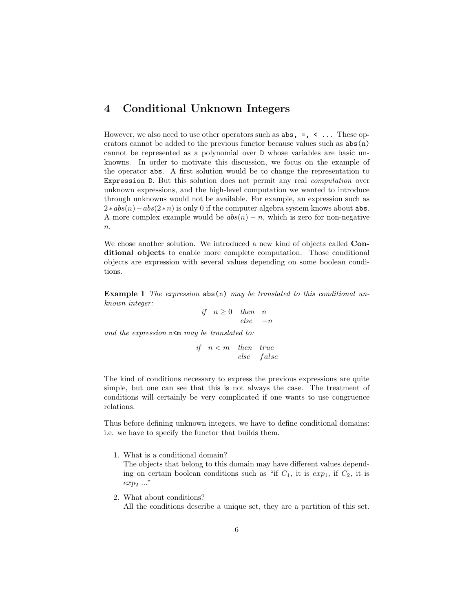# 4 Conditional Unknown Integers

However, we also need to use other operators such as  $\text{abs}, =, \leq \ldots$  These operators cannot be added to the previous functor because values such as abs(n) cannot be represented as a polynomial over D whose variables are basic unknowns. In order to motivate this discussion, we focus on the example of the operator abs. A first solution would be to change the representation to Expression D. But this solution does not permit any real *computation* over unknown expressions, and the high-level computation we wanted to introduce through unknowns would not be available. For example, an expression such as  $2 * abs(n) - abs(2*n)$  is only 0 if the computer algebra system knows about abs. A more complex example would be  $abs(n) - n$ , which is zero for non-negative  $n$ .

We chose another solution. We introduced a new kind of objects called **Con**ditional objects to enable more complete computation. Those conditional objects are expression with several values depending on some boolean conditions.

**Example 1** The expression  $\text{abs}(n)$  may be translated to this conditional unknown integer:

> if  $n \geq 0$  then n  $else -n$

and the expression  $n \leq m$  may be translated to:

if  $n < m$  then true else false

The kind of conditions necessary to express the previous expressions are quite simple, but one can see that this is not always the case. The treatment of conditions will certainly be very complicated if one wants to use congruence relations.

Thus before defining unknown integers, we have to define conditional domains: i.e. we have to specify the functor that builds them.

1. What is a conditional domain?

The objects that belong to this domain may have different values depending on certain boolean conditions such as "if  $C_1$ , it is  $exp_1$ , if  $C_2$ , it is exp<sup>2</sup> ..."

2. What about conditions?

All the conditions describe a unique set, they are a partition of this set.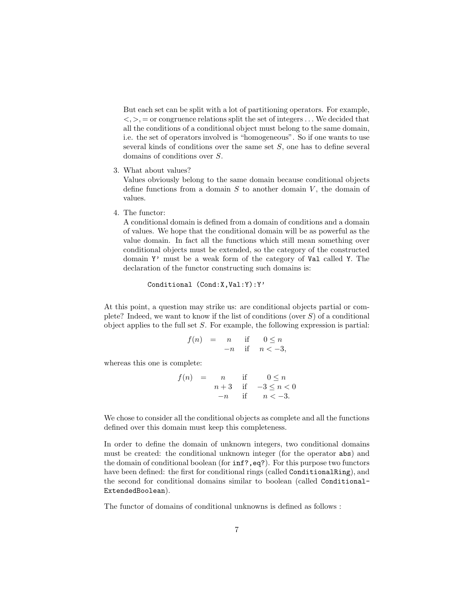But each set can be split with a lot of partitioning operators. For example,  $\langle \rangle$ ,  $\rangle$ ,  $=$  or congruence relations split the set of integers  $\dots$  We decided that all the conditions of a conditional object must belong to the same domain, i.e. the set of operators involved is "homogeneous". So if one wants to use several kinds of conditions over the same set S, one has to define several domains of conditions over S.

3. What about values?

Values obviously belong to the same domain because conditional objects define functions from a domain  $S$  to another domain  $V$ , the domain of values.

4. The functor:

A conditional domain is defined from a domain of conditions and a domain of values. We hope that the conditional domain will be as powerful as the value domain. In fact all the functions which still mean something over conditional objects must be extended, so the category of the constructed domain Y' must be a weak form of the category of Val called Y. The declaration of the functor constructing such domains is:

Conditional (Cond:X,Val:Y):Y'

At this point, a question may strike us: are conditional objects partial or complete? Indeed, we want to know if the list of conditions (over  $S$ ) of a conditional object applies to the full set  $S$ . For example, the following expression is partial:

$$
f(n) = n \quad \text{if} \quad 0 \le n
$$
  

$$
-n \quad \text{if} \quad n < -3,
$$

whereas this one is complete:

 $f(n) = n$  if  $0 \leq n$  $n+3$  if  $-3 \le n < 0$  $-n$  if  $n < -3$ .

We chose to consider all the conditional objects as complete and all the functions defined over this domain must keep this completeness.

In order to define the domain of unknown integers, two conditional domains must be created: the conditional unknown integer (for the operator abs) and the domain of conditional boolean (for inf?,eq?). For this purpose two functors have been defined: the first for conditional rings (called Conditional Ring), and the second for conditional domains similar to boolean (called Conditional-ExtendedBoolean).

The functor of domains of conditional unknowns is defined as follows :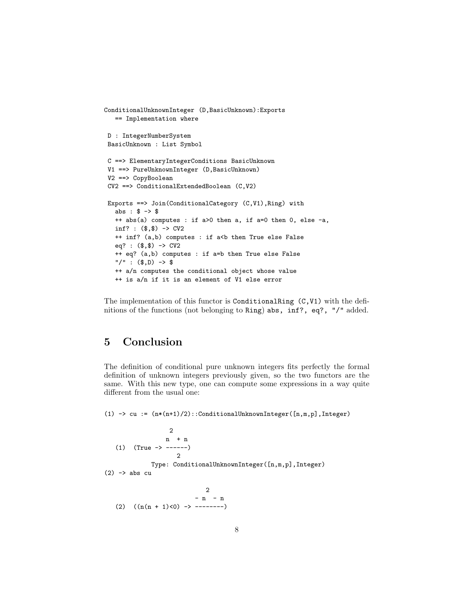```
ConditionalUnknownInteger (D,BasicUnknown):Exports
   == Implementation where
D : IntegerNumberSystem
BasicUnknown : List Symbol
C ==> ElementaryIntegerConditions BasicUnknown
V1 ==> PureUnknownInteger (D,BasicUnknown)
V2 ==> CopyBoolean
CV2 ==> ConditionalExtendedBoolean (C,V2)
Exports ==> Join(ConditionalCategory (C,V1),Ring) with
  abs : $ -> $
  ++ abs(a) computes : if a>0 then a, if a=0 then 0, else -a,
  inf? : ($,$) -> CV2
  ++ inf? (a,b) computes : if a<br/>b then True else False
  eq? : ($,$) -> CV2
   ++ eq? (a,b) computes : if a=b then True else False
  "/" : ($,D) -> $
  ++ a/n computes the conditional object whose value
   ++ is a/n if it is an element of V1 else error
```
The implementation of this functor is ConditionalRing (C,V1) with the definitions of the functions (not belonging to Ring) abs, inf?, eq?, "/" added.

# 5 Conclusion

The definition of conditional pure unknown integers fits perfectly the formal definition of unknown integers previously given, so the two functors are the same. With this new type, one can compute some expressions in a way quite different from the usual one:

(1)  $\rightarrow$  cu :=  $(n*(n+1)/2)$ ::ConditionalUnknownInteger([n,m,p],Integer)

$$
\begin{array}{cccc}\n & & 2 \\
 & & n & + n \\
(1) & (True -> ----) & & \\
 & & 2 \\
 & & Type: ConditionalUnknownInteger([n, m, p], Integer) \\
(2) &-> abs cu & \\
 & & 2 & -n - n \\
 & (2) & ((n(n + 1) < 0) -> ----) \\
\end{array}
$$